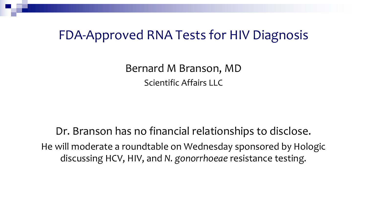### FDA-Approved RNA Tests for HIV Diagnosis

Bernard M Branson, MD Scientific Affairs LLC

Dr. Branson has no financial relationships to disclose. He will moderate a roundtable on Wednesday sponsored by Hologic discussing HCV, HIV, and *N. gonorrhoeae* resistance testing.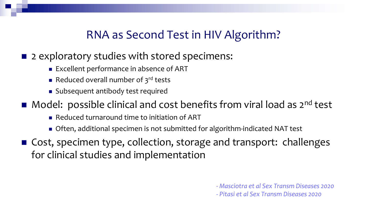### RNA as Second Test in HIV Algorithm?

#### ■ 2 exploratory studies with stored specimens:

- **Excellent performance in absence of ART**
- Reduced overall number of  $3<sup>rd</sup>$  tests
- **n** Subsequent antibody test required

 $\blacksquare$  Model: possible clinical and cost benefits from viral load as  $2^{nd}$  test

- <sup>n</sup> Reduced turnaround time to initiation of ART
- Often, additional specimen is not submitted for algorithm-indicated NAT test
- Cost, specimen type, collection, storage and transport: challenges for clinical studies and implementation

*- Masciotra et al Sex Transm Diseases 2020*

*- Pitasi et al Sex Transm Diseases 2020*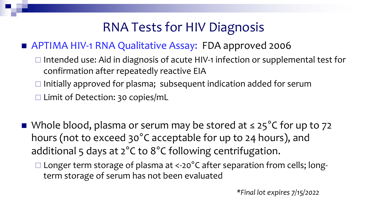# RNA Tests for HIV Diagnosis

#### ■ APTIMA HIV-1 RNA Qualitative Assay: FDA approved 2006

- $\Box$  Intended use: Aid in diagnosis of acute HIV-1 infection or supplemental test for confirmation after repeatedly reactive EIA
- $\Box$  Initially approved for plasma; subsequent indication added for serum
- $\square$  Limit of Detection: 30 copies/mL
- Whole blood, plasma or serum may be stored at  $\leq$  25°C for up to 72 hours (not to exceed 30°C acceptable for up to 24 hours), and additional 5 days at 2°C to 8°C following centrifugation.
	- $\Box$  Longer term storage of plasma at <-20°C after separation from cells; longterm storage of serum has not been evaluated

*\*Final lot expires 7/15/2022*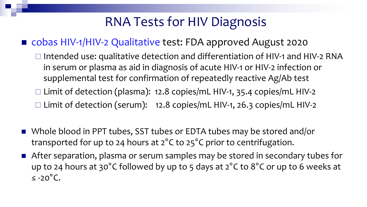# RNA Tests for HIV Diagnosis

#### ■ cobas HIV-1/HIV-2 Qualitative test: FDA approved August 2020

- $\square$  Intended use: qualitative detection and differentiation of HIV-1 and HIV-2 RNA in serum or plasma as aid in diagnosis of acute HIV-1 or HIV-2 infection or supplemental test for confirmation of repeatedly reactive Ag/Ab test
- $\square$  Limit of detection (plasma): 12.8 copies/mL HIV-1, 35.4 copies/mL HIV-2
- $\Box$  Limit of detection (serum): 12.8 copies/mL HIV-1, 26.3 copies/mL HIV-2
- Whole blood in PPT tubes, SST tubes or EDTA tubes may be stored and/or transported for up to 24 hours at 2°C to 25°C prior to centrifugation.
- After separation, plasma or serum samples may be stored in secondary tubes for up to 24 hours at 30°C followed by up to 5 days at 2°C to 8°C or up to 6 weeks at ≤ -20°C.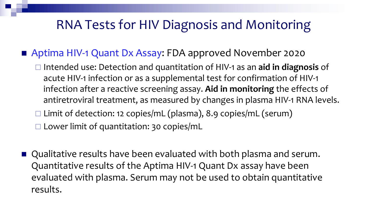# RNA Tests for HIV Diagnosis and Monitoring

■ Aptima HIV-1 Quant Dx Assay: FDA approved November 2020

- ¨ Intended use: Detection and quantitation of HIV-1 as an **aid in diagnosis** of acute HIV-1 infection or as a supplemental test for confirmation of HIV-1 infection after a reactive screening assay. **Aid in monitoring** the effects of antiretroviral treatment, as measured by changes in plasma HIV-1 RNA levels.  $\square$  Limit of detection: 12 copies/mL (plasma), 8.9 copies/mL (serum)  $\square$  Lower limit of quantitation: 30 copies/mL
- Qualitative results have been evaluated with both plasma and serum. Quantitative results of the Aptima HIV-1 Quant Dx assay have been evaluated with plasma. Serum may not be used to obtain quantitative results.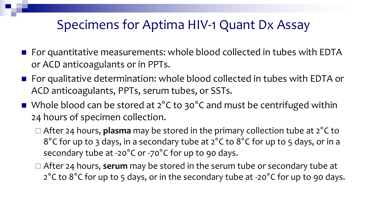# Specimens for Aptima HIV-1 Quant Dx Assay

- For quantitative measurements: whole blood collected in tubes with EDTA or ACD anticoagulants or in PPTs.
- For qualitative determination: whole blood collected in tubes with EDTA or ACD anticoagulants, PPTs, serum tubes, or SSTs.
- Whole blood can be stored at  $2^{\circ}$ C to 30 $^{\circ}$ C and must be centrifuged within 24 hours of specimen collection.
	- □ After 24 hours, **plasma** may be stored in the primary collection tube at 2<sup>°</sup>C to 8°C for up to 3 days, in a secondary tube at 2°C to 8°C for up to 5 days, or in a secondary tube at -20°C or -70°C for up to 90 days.
	- □ After 24 hours, serum may be stored in the serum tube or secondary tube at 2°C to 8°C for up to 5 days, or in the secondary tube at -20°C for up to 90 days.